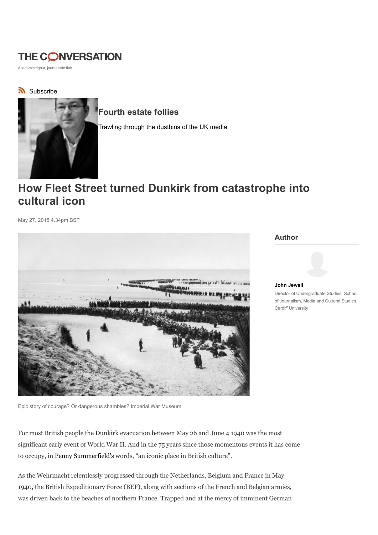# **THE CONVERSATION**

Academic rigour, journalistic flair

## Subscribe



## Fourth estate follies

Trawling through the dustbins of the UK media

# How Fleet Street turned Dunkirk from catastrophe into cultural icon

May 27, 2015 4.34pm BST



Author



#### John Jewell Director of Undergraduate Studies, School of Journalism, Media and Cultural Studies, Cardiff University

Epic story of courage? Or dangerous shambles? Imperial War Museum

For most British people the Dunkirk evacuation between May 26 and June 4 1940 was the most significant early event of World War II. And in the 75 years since those momentous events it has come to occupy, in Penny Summerfield's words, "an iconic place in British culture".

As the Wehrmacht relentlessly progressed through the Netherlands, Belgium and France in May 1940, the British Expeditionary Force (BEF), along with sections of the French and Belgian armies, was driven back to the beaches of northern France. Trapped and at the mercy of imminent German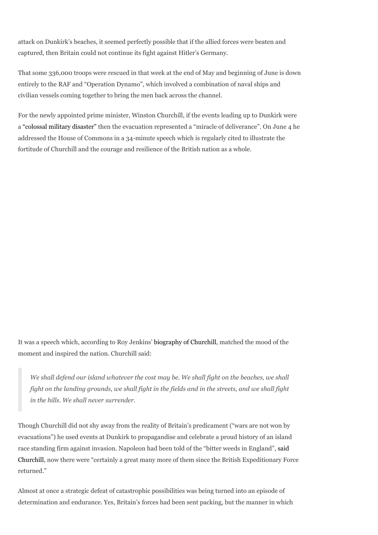attack on Dunkirk's beaches, it seemed perfectly possible that if the allied forces were beaten and captured, then Britain could not continue its fight against Hitler's Germany.

That some 336,000 troops were rescued in that week at the end of May and beginning of June is down entirely to the RAF and "Operation Dynamo", which involved a combination of naval ships and civilian vessels coming together to bring the men back across the channel.

For the newly appointed prime minister, Winston Churchill, if the events leading up to Dunkirk were a "colossal military disaster" then the evacuation represented a "miracle of deliverance". On June 4 he addressed the House of Commons in a 34-minute speech which is regularly cited to illustrate the fortitude of Churchill and the courage and resilience of the British nation as a whole.

It was a speech which, according to Roy Jenkins' biography of Churchill, matched the mood of the moment and inspired the nation. Churchill said:

We shall defend our island whatever the cost may be. We shall fight on the beaches, we shall fight on the landing grounds, we shall fight in the fields and in the streets, and we shall fight in the hills. We shall never surrender.

Though Churchill did not shy away from the reality of Britain's predicament ("wars are not won by evacuations") he used events at Dunkirk to propagandise and celebrate a proud history of an island race standing firm against invasion. Napoleon had been told of the "bitter weeds in England", said Churchill, now there were "certainly a great many more of them since the British Expeditionary Force returned."

Almost at once a strategic defeat of catastrophic possibilities was being turned into an episode of determination and endurance. Yes, Britain's forces had been sent packing, but the manner in which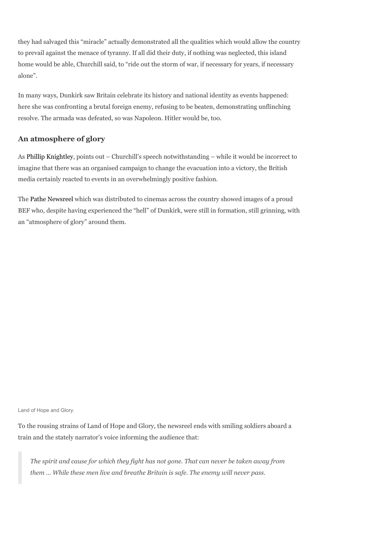they had salvaged this "miracle" actually demonstrated all the qualities which would allow the country to prevail against the menace of tyranny. If all did their duty, if nothing was neglected, this island home would be able, Churchill said, to "ride out the storm of war, if necessary for years, if necessary alone".

In many ways, Dunkirk saw Britain celebrate its history and national identity as events happened: here she was confronting a brutal foreign enemy, refusing to be beaten, demonstrating unflinching resolve. The armada was defeated, so was Napoleon. Hitler would be, too.

### An atmosphere of glory

As Phillip Knightley, points out – Churchill's speech notwithstanding – while it would be incorrect to imagine that there was an organised campaign to change the evacuation into a victory, the British media certainly reacted to events in an overwhelmingly positive fashion.

The Pathe Newsreel which was distributed to cinemas across the country showed images of a proud BEF who, despite having experienced the "hell" of Dunkirk, were still in formation, still grinning, with an "atmosphere of glory" around them.

Land of Hope and Glory.

To the rousing strains of Land of Hope and Glory, the newsreel ends with smiling soldiers aboard a train and the stately narrator's voice informing the audience that:

The spirit and cause for which they fight has not gone. That can never be taken away from them … While these men live and breathe Britain is safe. The enemy will never pass.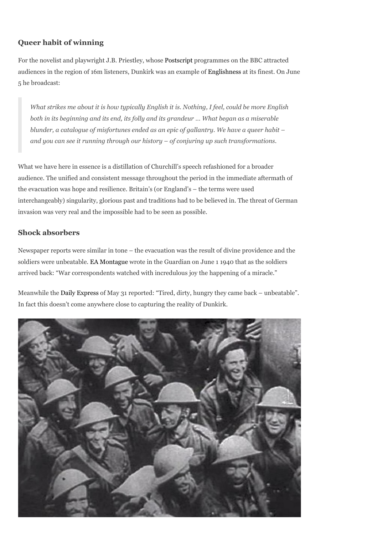## Queer habit of winning

For the novelist and playwright J.B. Priestley, whose Postscript programmes on the BBC attracted audiences in the region of 16m listeners, Dunkirk was an example of Englishness at its finest. On June 5 he broadcast:

What strikes me about it is how typically English it is. Nothing, I feel, could be more English both in its beginning and its end, its folly and its grandeur … What began as a miserable blunder, a catalogue of misfortunes ended as an epic of gallantry. We have a queer habit – and you can see it running through our history – of conjuring up such transformations.

What we have here in essence is a distillation of Churchill's speech refashioned for a broader audience. The unified and consistent message throughout the period in the immediate aftermath of the evacuation was hope and resilience. Britain's (or England's – the terms were used interchangeably) singularity, glorious past and traditions had to be believed in. The threat of German invasion was very real and the impossible had to be seen as possible.

### Shock absorbers

Newspaper reports were similar in tone – the evacuation was the result of divine providence and the soldiers were unbeatable. EA Montague wrote in the Guardian on June 1 1940 that as the soldiers arrived back: "War correspondents watched with incredulous joy the happening of a miracle."

Meanwhile the Daily Express of May 31 reported: "Tired, dirty, hungry they came back – unbeatable". In fact this doesn't come anywhere close to capturing the reality of Dunkirk.